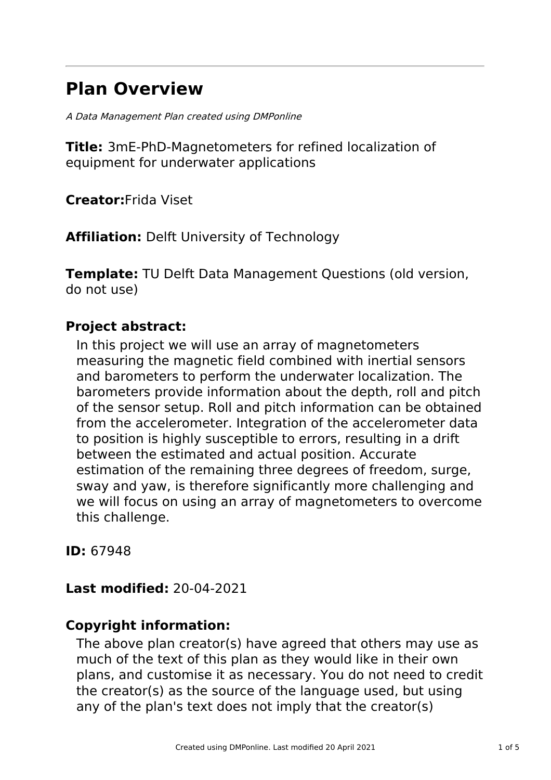# **Plan Overview**

A Data Management Plan created using DMPonline

**Title:** 3mE-PhD-Magnetometers for refined localization of equipment for underwater applications

**Creator:**Frida Viset

**Affiliation:** Delft University of Technology

**Template:** TU Delft Data Management Questions (old version, do not use)

# **Project abstract:**

In this project we will use an array of magnetometers measuring the magnetic field combined with inertial sensors and barometers to perform the underwater localization. The barometers provide information about the depth, roll and pitch of the sensor setup. Roll and pitch information can be obtained from the accelerometer. Integration of the accelerometer data to position is highly susceptible to errors, resulting in a drift between the estimated and actual position. Accurate estimation of the remaining three degrees of freedom, surge, sway and yaw, is therefore significantly more challenging and we will focus on using an array of magnetometers to overcome this challenge.

**ID:** 67948

## **Last modified:** 20-04-2021

# **Copyright information:**

The above plan creator(s) have agreed that others may use as much of the text of this plan as they would like in their own plans, and customise it as necessary. You do not need to credit the creator(s) as the source of the language used, but using any of the plan's text does not imply that the creator(s)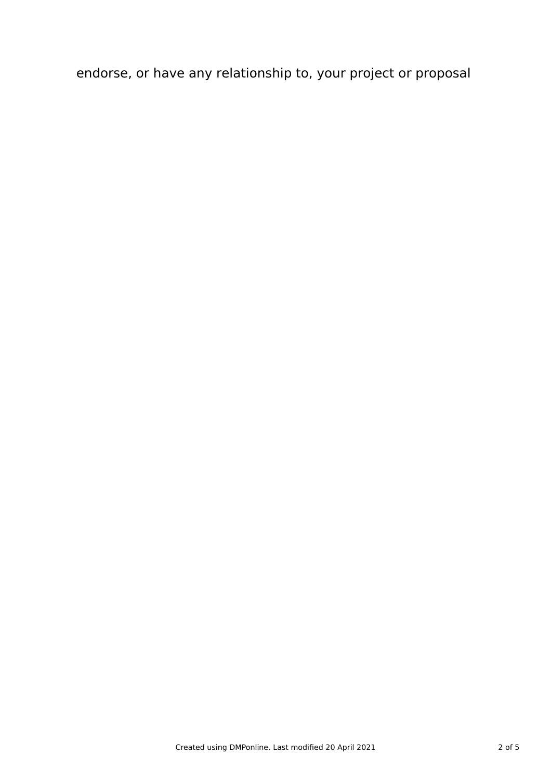endorse, or have any relationship to, your project or proposal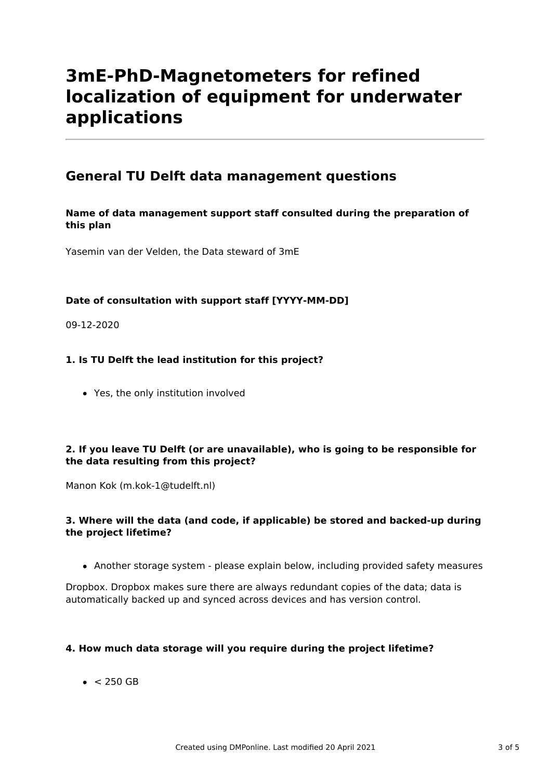# **3mE-PhD-Magnetometers for refined localization of equipment for underwater applications**

## **General TU Delft data management questions**

#### **Name of data management support staff consulted during the preparation of this plan**

Yasemin van der Velden, the Data steward of 3mE

#### **Date of consultation with support staff [YYYY-MM-DD]**

09-12-2020

#### **1. Is TU Delft the lead institution for this project?**

Yes, the only institution involved

#### **2. If you leave TU Delft (or are unavailable), who is going to be responsible for the data resulting from this project?**

Manon Kok (m.kok-1@tudelft.nl)

#### **3. Where will the data (and code, if applicable) be stored and backed-up during the project lifetime?**

Another storage system - please explain below, including provided safety measures

Dropbox. Dropbox makes sure there are always redundant copies of the data; data is automatically backed up and synced across devices and has version control.

#### **4. How much data storage will you require during the project lifetime?**

 $\bullet$  < 250 GB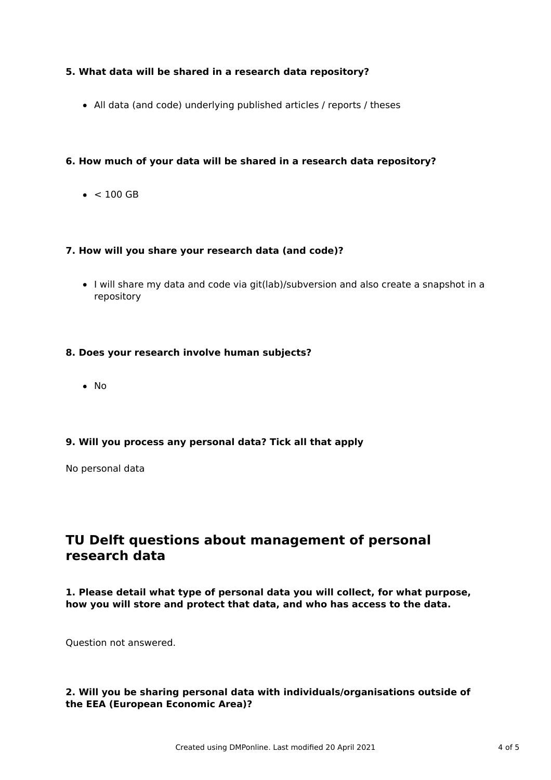#### **5. What data will be shared in a research data repository?**

All data (and code) underlying published articles / reports / theses

#### **6. How much of your data will be shared in a research data repository?**

 $\bullet$  < 100 GB

#### **7. How will you share your research data (and code)?**

I will share my data and code via git(lab)/subversion and also create a snapshot in a repository

#### **8. Does your research involve human subjects?**

• No

#### **9. Will you process any personal data? Tick all that apply**

No personal data

## **TU Delft questions about management of personal research data**

**1. Please detail what type of personal data you will collect, for what purpose, how you will store and protect that data, and who has access to the data.**

Question not answered.

#### **2. Will you be sharing personal data with individuals/organisations outside of the EEA (European Economic Area)?**